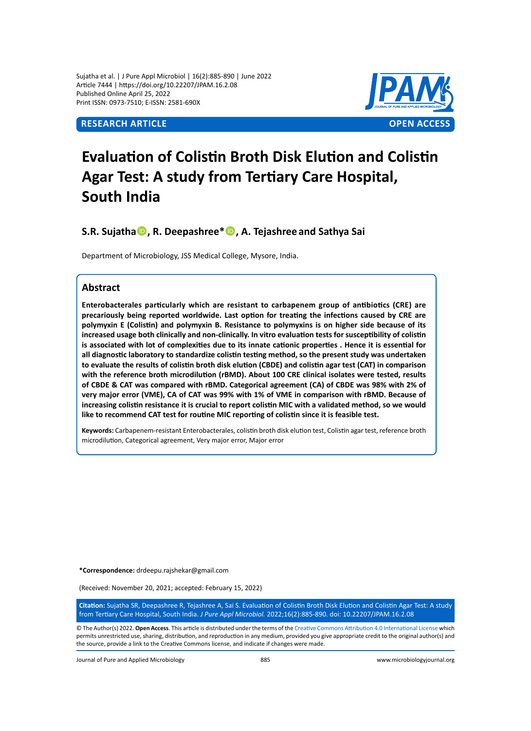Sujatha et al. | J Pure Appl Microbiol | 16(2):885-890 | June 2022 Article 7444 | https://doi.org/10.22207/JPAM.16.2.08 Published Online April 25, 2022 Print ISSN: 0973-7510; E-ISSN: 2581-690X



# **Evaluation of Colistin Broth Disk Elution and Colistin Agar Test: A study from Tertiary Care Hospital, South India**

**S.R. Sujatha, R. Deepashree\*, A. Tejashree and Sathya Sai**

Department of Microbiology, JSS Medical College, Mysore, India.

# **Abstract**

**Enterobacterales particularly which are resistant to carbapenem group of antibiotics (CRE) are precariously being reported worldwide. Last option for treating the infections caused by CRE are polymyxin E (Colistin) and polymyxin B. Resistance to polymyxins is on higher side because of its increased usage both clinically and non-clinically. In vitro evaluation tests for susceptibility of colistin is associated with lot of complexities due to its innate cationic properties . Hence it is essential for all diagnostic laboratory to standardize colistin testing method, so the present study was undertaken to evaluate the results of colistin broth disk elution (CBDE) and colistin agar test (CAT) in comparison with the reference broth microdilution (rBMD). About 100 CRE clinical isolates were tested, results of CBDE & CAT was compared with rBMD. Categorical agreement (CA) of CBDE was 98% with 2% of very major error (VME), CA of CAT was 99% with 1% of VME in comparison with rBMD. Because of increasing colistin resistance it is crucial to report colistin MIC with a validated method, so we would like to recommend CAT test for routine MIC reporting of colistin since it is feasible test.**

**Keywords:** Carbapenem-resistant Enterobacterales, colistin broth disk elution test, Colistin agar test, reference broth microdilution, Categorical agreement, Very major error, Major error

**\*Correspondence:** drdeepu.rajshekar@gmail.com

(Received: November 20, 2021; accepted: February 15, 2022)

**Citation:** Sujatha SR, Deepashree R, Tejashree A, Sai S. Evaluation of Colistin Broth Disk Elution and Colistin Agar Test: A study from Tertiary Care Hospital, South India. *J Pure Appl Microbiol.* 2022;16(2):885-890. doi: 10.22207/JPAM.16.2.08

© The Author(s) 2022. **Open Access**. This article is distributed under the terms of the [Creative Commons Attribution 4.0 International License](https://creativecommons.org/licenses/by/4.0/) which permits unrestricted use, sharing, distribution, and reproduction in any medium, provided you give appropriate credit to the original author(s) and the source, provide a link to the Creative Commons license, and indicate if changes were made.

Journal of Pure and Applied Microbiology 885 www.microbiologyjournal.org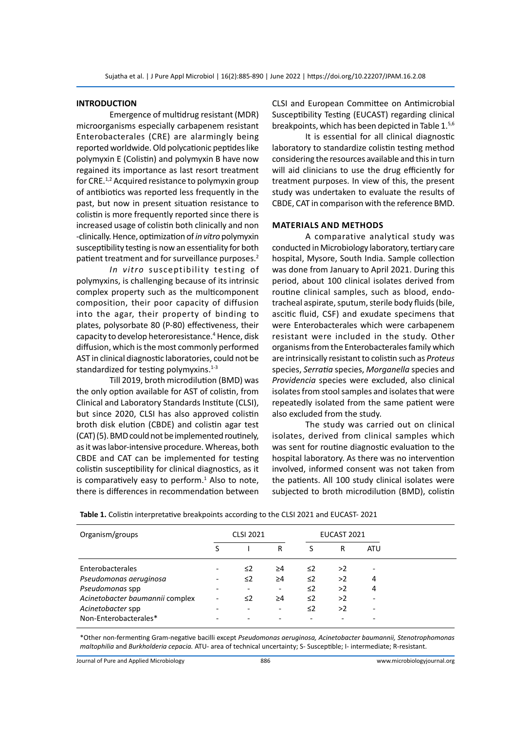#### **INTRODUCTION**

Emergence of multidrug resistant (MDR) microorganisms especially carbapenem resistant Enterobacterales (CRE) are alarmingly being reported worldwide. Old polycationic peptides like polymyxin E (Colistin) and polymyxin B have now regained its importance as last resort treatment for CRE.<sup>1,2</sup> Acquired resistance to polymyxin group of antibiotics was reported less frequently in the past, but now in present situation resistance to colistin is more frequently reported since there is increased usage of colistin both clinically and non -clinically. Hence, optimization of *in vitro* polymyxin susceptibility testing is now an essentiality for both patient treatment and for surveillance purposes.<sup>2</sup>

*In vitro* susceptibility testing of polymyxins, is challenging because of its intrinsic complex property such as the multicomponent composition, their poor capacity of diffusion into the agar, their property of binding to plates, polysorbate 80 (P-80) effectiveness, their capacity to develop heteroresistance.<sup>4</sup> Hence, disk diffusion, which is the most commonly performed AST in clinical diagnostic laboratories, could not be standardized for testing polymyxins. $1-3$ 

Till 2019, broth microdilution (BMD) was the only option available for AST of colistin, from Clinical and Laboratory Standards Institute (CLSI), but since 2020, CLSI has also approved colistin broth disk elution (CBDE) and colistin agar test (CAT) (5). BMD could not be implemented routinely, as it was labor-intensive procedure. Whereas, both CBDE and CAT can be implemented for testing colistin susceptibility for clinical diagnostics, as it is comparatively easy to perform. $<sup>1</sup>$  Also to note,</sup> there is differences in recommendation between

CLSI and European Committee on Antimicrobial Susceptibility Testing (EUCAST) regarding clinical breakpoints, which has been depicted in Table 1.5,6

It is essential for all clinical diagnostic laboratory to standardize colistin testing method considering the resources available and this in turn will aid clinicians to use the drug efficiently for treatment purposes. In view of this, the present study was undertaken to evaluate the results of CBDE, CAT in comparison with the reference BMD.

#### **MaterialS and Methods**

A comparative analytical study was conducted in Microbiology laboratory, tertiary care hospital, Mysore, South India. Sample collection was done from January to April 2021. During this period, about 100 clinical isolates derived from routine clinical samples, such as blood, endotracheal aspirate, sputum, sterile body fluids (bile, ascitic fluid, CSF) and exudate specimens that were Enterobacterales which were carbapenem resistant were included in the study. Other organisms from the Enterobacterales family which are intrinsically resistant to colistin such as *Proteus*  species, *Serratia* species, *Morganella* species and *Providencia* species were excluded, also clinical isolates from stool samples and isolates that were repeatedly isolated from the same patient were also excluded from the study.

The study was carried out on clinical isolates, derived from clinical samples which was sent for routine diagnostic evaluation to the hospital laboratory. As there was no intervention involved, informed consent was not taken from the patients. All 100 study clinical isolates were subjected to broth microdilution (BMD), colistin

| Organism/groups                 | <b>CLSI 2021</b>         |          |          | EUCAST 2021 |    |            |  |
|---------------------------------|--------------------------|----------|----------|-------------|----|------------|--|
|                                 | S                        |          | R        | S           | R  | <b>ATU</b> |  |
| Enterobacterales                | $\overline{\phantom{0}}$ | $\leq$ 2 | $\geq 4$ | $\leq$ 2    | >2 | ۰          |  |
| Pseudomonas aeruginosa          | ۰                        | $\leq$ 2 | $\geq 4$ | $\leq$ 2    | >2 | 4          |  |
| Pseudomonas spp                 |                          |          |          | $\leq$ 2    | >2 | 4          |  |
| Acinetobacter baumannii complex |                          | $\leq$ 2 | $\geq 4$ | $\leq$ 2    | >2 | ۰          |  |
| Acinetobacter spp               |                          |          |          | $\leq$ 2    | >2 | ۰          |  |
| Non-Enterobacterales*           |                          |          |          |             |    | ۰          |  |

**Table 1.** Colistin interpretative breakpoints according to the CLSI 2021 and EUCAST- 2021

\*Other non-fermenting Gram-negative bacilli except *Pseudomonas aeruginosa, Acinetobacter baumannii, Stenotrophomonas maltophilia* and *Burkholderia cepacia.* ATU- area of technical uncertainty; S- Susceptible; I- intermediate; R-resistant.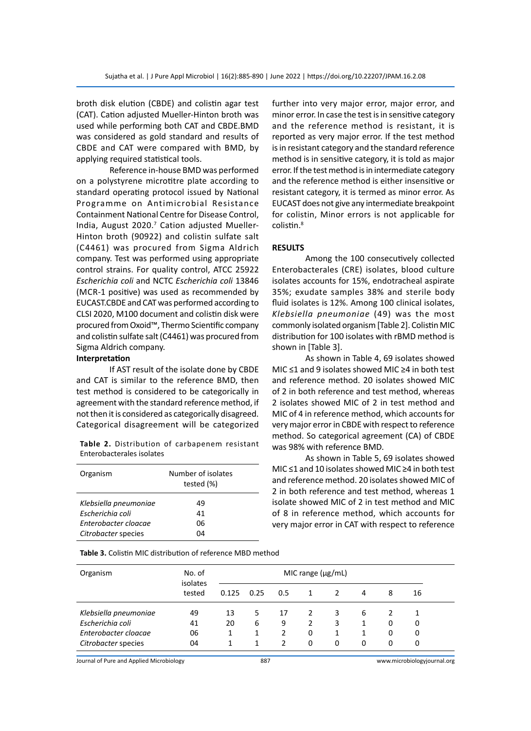broth disk elution (CBDE) and colistin agar test (CAT). Cation adjusted Mueller-Hinton broth was used while performing both CAT and CBDE.BMD was considered as gold standard and results of CBDE and CAT were compared with BMD, by applying required statistical tools.

Reference in-house BMD was performed on a polystyrene microtitre plate according to standard operating protocol issued by National Programme on Antimicrobial Resistance Containment National Centre for Disease Control, India, August 2020.<sup>7</sup> Cation adjusted Mueller-Hinton broth (90922) and colistin sulfate salt (C4461) was procured from Sigma Aldrich company. Test was performed using appropriate control strains. For quality control, ATCC 25922 *Escherichia coli* and NCTC *Escherichia coli* 13846 (MCR-1 positive) was used as recommended by EUCAST.CBDE and CAT was performed according to CLSI 2020, M100 document and colistin disk were procured from Oxoid™, Thermo Scientific company and colistin sulfate salt (C4461) was procured from Sigma Aldrich company.

#### **Interpretation**

If AST result of the isolate done by CBDE and CAT is similar to the reference BMD, then test method is considered to be categorically in agreement with the standard reference method, if not then it is considered as categorically disagreed. Categorical disagreement will be categorized

**Table 2.** Distribution of carbapenem resistant Enterobacterales isolates

| Organism              | Number of isolates<br>tested (%) |
|-----------------------|----------------------------------|
| Klebsiella pneumoniae | 49                               |
| Escherichia coli      | 41                               |
| Enterobacter cloacae  | 06                               |
| Citrobacter species   | 04                               |

further into very major error, major error, and minor error. In case the test is in sensitive category and the reference method is resistant, it is reported as very major error. If the test method is in resistant category and the standard reference method is in sensitive category, it is told as major error. If the test method is in intermediate category and the reference method is either insensitive or resistant category, it is termed as minor error. As EUCAST does not give any intermediate breakpoint for colistin, Minor errors is not applicable for colistin.<sup>8</sup>

#### **RESULTS**

Among the 100 consecutively collected Enterobacterales (CRE) isolates, blood culture isolates accounts for 15%, endotracheal aspirate 35%; exudate samples 38% and sterile body fluid isolates is 12%. Among 100 clinical isolates, *Klebsiella pneumoniae* (49) was the most commonly isolated organism [Table 2]. Colistin MIC distribution for 100 isolates with rBMD method is shown in [Table 3].

As shown in Table 4, 69 isolates showed MIC ≤1 and 9 isolates showed MIC ≥4 in both test and reference method. 20 isolates showed MIC of 2 in both reference and test method, whereas 2 isolates showed MIC of 2 in test method and MIC of 4 in reference method, which accounts for very major error in CBDE with respect to reference method. So categorical agreement (CA) of CBDE was 98% with reference BMD.

As shown in Table 5, 69 isolates showed MIC ≤1 and 10 isolates showed MIC ≥4 in both test and reference method. 20 isolates showed MIC of 2 in both reference and test method, whereas 1 isolate showed MIC of 2 in test method and MIC of 8 in reference method, which accounts for very major error in CAT with respect to reference

| Organism              | No. of<br>isolates |       |      |     | MIC range $(\mu g/mL)$ |               |   |   |    |  |
|-----------------------|--------------------|-------|------|-----|------------------------|---------------|---|---|----|--|
|                       | tested             | 0.125 | 0.25 | 0.5 | 1                      | $\mathcal{L}$ | 4 | 8 | 16 |  |
| Klebsiella pneumoniae | 49                 | 13    | 5    | 17  | 2                      | 3             | 6 |   |    |  |
| Escherichia coli      | 41                 | 20    | 6    | 9   | $\mathcal{P}$          | 3             |   | 0 | 0  |  |
| Enterobacter cloacae  | 06                 |       |      | 2   | 0                      | 1             |   | 0 | 0  |  |
| Citrobacter species   | 04                 |       | 1    | 2   | 0                      | 0             | 0 | 0 | 0  |  |

**Table 3.** Colistin MIC distribution of reference MBD method

Journal of Pure and Applied Microbiology 887 www.microbiologyjournal.org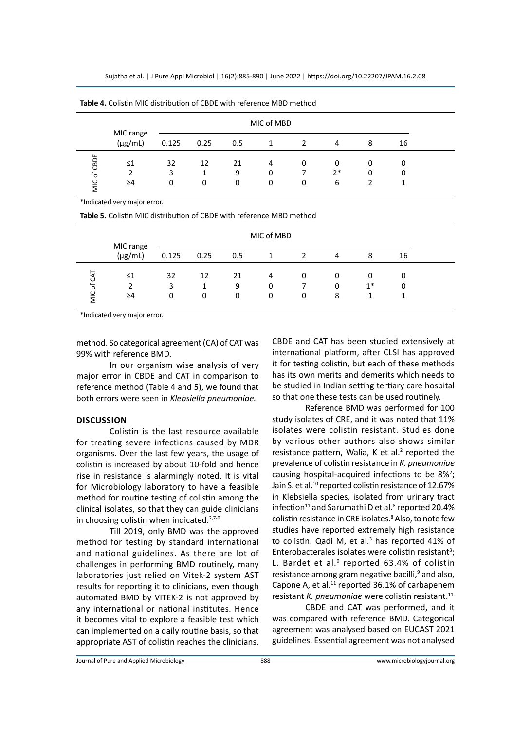Sujatha et al. | J Pure Appl Microbiol | 16(2):885-890 | June 2022 | https://doi.org/10.22207/JPAM.16.2.08

| <b>Table 4.</b> Consult ivity distribution of CBDE with relefence MBD method |                           |       |      |     |   |               |      |   |    |  |
|------------------------------------------------------------------------------|---------------------------|-------|------|-----|---|---------------|------|---|----|--|
|                                                                              | MIC of MBD                |       |      |     |   |               |      |   |    |  |
|                                                                              | MIC range<br>$(\mu g/mL)$ | 0.125 | 0.25 | 0.5 |   | $\mathcal{L}$ | 4    | 8 | 16 |  |
| of CBDE                                                                      | $\leq 1$                  | 32    | 12   | 21  | 4 | 0             | 0    | 0 |    |  |
|                                                                              | 2                         | 3     |      | 9   | 0 |               | $2*$ | 0 |    |  |
| <b>MIC</b>                                                                   | ≥4                        | 0     | 0    | 0   | 0 | 0             | 6    |   |    |  |

**Table 4.** Colistin MIC distribution of CBDE with reference MBD method

\*Indicated very major error.

**Table 5.** Colistin MIC distribution of CBDE with reference MBD method

|                                 | MIC of MBD                |              |              |              |             |               |             |           |        |  |
|---------------------------------|---------------------------|--------------|--------------|--------------|-------------|---------------|-------------|-----------|--------|--|
|                                 | MIC range<br>$(\mu g/mL)$ | 0.125        | 0.25         | 0.5          |             | $\mathcal{P}$ | 4           | 8         | 16     |  |
| ن<br>$\mathbf{r}$<br><b>MIC</b> | $\leq$ 1<br>≥4            | 32<br>3<br>0 | 12<br>1<br>0 | 21<br>9<br>0 | 4<br>0<br>0 | 0<br>0        | 0<br>0<br>8 | 0<br>$1*$ | 0<br>0 |  |

\*Indicated very major error.

method. So categorical agreement (CA) of CAT was 99% with reference BMD.

In our organism wise analysis of very major error in CBDE and CAT in comparison to reference method (Table 4 and 5), we found that both errors were seen in *Klebsiella pneumoniae.*

# **Discussion**

Colistin is the last resource available for treating severe infections caused by MDR organisms. Over the last few years, the usage of colistin is increased by about 10-fold and hence rise in resistance is alarmingly noted. It is vital for Microbiology laboratory to have a feasible method for routine testing of colistin among the clinical isolates, so that they can guide clinicians in choosing colistin when indicated.<sup>2,7-9</sup>

Till 2019, only BMD was the approved method for testing by standard international and national guidelines. As there are lot of challenges in performing BMD routinely, many laboratories just relied on Vitek-2 system AST results for reporting it to clinicians, even though automated BMD by VITEK-2 is not approved by any international or national institutes. Hence it becomes vital to explore a feasible test which can implemented on a daily routine basis, so that appropriate AST of colistin reaches the clinicians. CBDE and CAT has been studied extensively at international platform, after CLSI has approved it for testing colistin, but each of these methods has its own merits and demerits which needs to be studied in Indian setting tertiary care hospital so that one these tests can be used routinely.

Reference BMD was performed for 100 study isolates of CRE, and it was noted that 11% isolates were colistin resistant. Studies done by various other authors also shows similar resistance pattern, Walia, K et al. $2$  reported the prevalence of colistin resistance in *K. pneumoniae* causing hospital-acquired infections to be  $8\frac{1}{2}$ ; Jain S. et al.<sup>10</sup> reported colistin resistance of 12.67% in Klebsiella species, isolated from urinary tract infection $^{11}$  and Sarumathi D et al. $^8$  reported 20.4% colistin resistance in CRE isolates.<sup>8</sup> Also, to note few studies have reported extremely high resistance to colistin. Qadi M, et al. $3$  has reported 41% of Enterobacterales isolates were colistin resistant<sup>3</sup>; L. Bardet et al.<sup>9</sup> reported 63.4% of colistin resistance among gram negative bacilli,<sup>9</sup> and also, Capone A, et al.<sup>11</sup> reported 36.1% of carbapenem resistant *K. pneumoniae* were colistin resistant.<sup>11</sup>

CBDE and CAT was performed, and it was compared with reference BMD. Categorical agreement was analysed based on EUCAST 2021 guidelines. Essential agreement was not analysed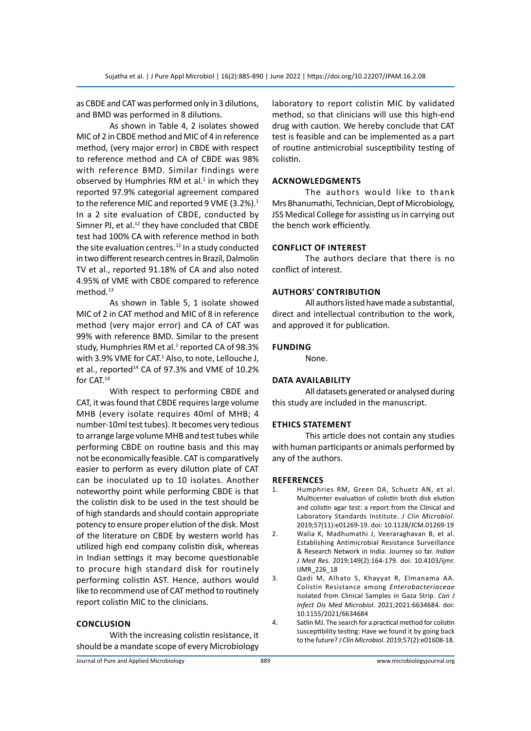as CBDE and CAT was performed only in 3 dilutions, and BMD was performed in 8 dilutions.

As shown in Table 4, 2 isolates showed MIC of 2 in CBDE method and MIC of 4 in reference method, (very major error) in CBDE with respect to reference method and CA of CBDE was 98% with reference BMD. Similar findings were observed by Humphries RM et al. $1$  in which they reported 97.9% categorial agreement compared to the reference MIC and reported 9 VME  $(3.2\%)$ .<sup>1</sup> In a 2 site evaluation of CBDE, conducted by Simner PJ, et al. $^{12}$  they have concluded that CBDE test had 100% CA with reference method in both the site evaluation centres. $12$  In a study conducted in two different research centres in Brazil, Dalmolin TV et al., reported 91.18% of CA and also noted 4.95% of VME with CBDE compared to reference method.<sup>13</sup>

As shown in Table 5, 1 isolate showed MIC of 2 in CAT method and MIC of 8 in reference method (very major error) and CA of CAT was 99% with reference BMD. Similar to the present study, Humphries RM et al.<sup>1</sup> reported CA of 98.3% with 3.9% VME for CAT.<sup>1</sup> Also, to note, Lellouche J, et al., reported<sup>14</sup> CA of 97.3% and VME of 10.2% for CAT.14

With respect to performing CBDE and CAT, it was found that CBDE requires large volume MHB (every isolate requires 40ml of MHB; 4 number-10ml test tubes). It becomes very tedious to arrange large volume MHB and test tubes while performing CBDE on routine basis and this may not be economically feasible. CAT is comparatively easier to perform as every dilution plate of CAT can be inoculated up to 10 isolates. Another noteworthy point while performing CBDE is that the colistin disk to be used in the test should be of high standards and should contain appropriate potency to ensure proper elution of the disk. Most of the literature on CBDE by western world has utilized high end company colistin disk, whereas in Indian settings it may become questionable to procure high standard disk for routinely performing colistin AST. Hence, authors would like to recommend use of CAT method to routinely report colistin MIC to the clinicians.

## **Conclusion**

With the increasing colistin resistance, it should be a mandate scope of every Microbiology laboratory to report colistin MIC by validated method, so that clinicians will use this high-end drug with caution. We hereby conclude that CAT test is feasible and can be implemented as a part of routine antimicrobial susceptibility testing of colistin.

## **AcknowledgmentS**

The authors would like to thank Mrs Bhanumathi, Technician, Dept of Microbiology, JSS Medical College for assisting us in carrying out the bench work efficiently.

## **Conflict of Interest**

The authors declare that there is no conflict of interest.

## **AuthorS' Contribution**

All authors listed have made a substantial, direct and intellectual contribution to the work, and approved it for publication.

## **Funding**

None.

# **Data Availability**

All datasets generated or analysed during this study are included in the manuscript.

## **Ethics Statement**

This article does not contain any studies with human participants or animals performed by any of the authors.

#### **References**

- 1. Humphries RM, Green DA, Schuetz AN, et al. Multicenter evaluation of colistin broth disk elution and colistin agar test: a report from the Clinical and Laboratory Standards Institute. *J Clin Microbiol*. 2019;57(11):e01269-19. doi: 10.1128/JCM.01269-19
- 2. Walia K, Madhumathi J, Veeraraghavan B, et al. Establishing Antimicrobial Resistance Surveillance & Research Network in India: Journey so far. *Indian J Med Res.* 2019;149(2):164-179. doi: 10.4103/ijmr. IJMR\_226\_18
- 3. Qadi M, Alhato S, Khayyat R, Elmanama AA. Colistin Resistance among *Enterobacteriaceae* Isolated from Clinical Samples in Gaza Strip. *Can J Infect Dis Med Microbiol*. 2021;2021:6634684. doi: 10.1155/2021/6634684
- 4. Satlin MJ. The search for a practical method for colistin susceptibility testing: Have we found it by going back to the future? *J Clin Microbiol*. 2019;57(2):e01608-18.